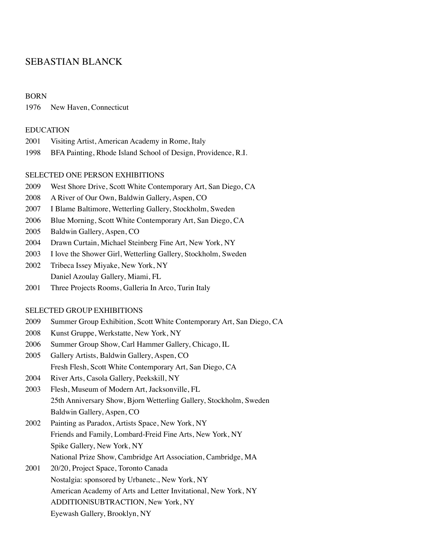# SEBASTIAN BLANCK

#### BORN

1976 New Haven, Connecticut

#### EDUCATION

- 2001 Visiting Artist, American Academy in Rome, Italy
- 1998 BFA Painting, Rhode Island School of Design, Providence, R.I.

#### SELECTED ONE PERSON EXHIBITIONS

- 2009 West Shore Drive, Scott White Contemporary Art, San Diego, CA
- 2008 A River of Our Own, Baldwin Gallery, Aspen, CO
- 2007 I Blame Baltimore, Wetterling Gallery, Stockholm, Sweden
- 2006 Blue Morning, Scott White Contemporary Art, San Diego, CA
- 2005 Baldwin Gallery, Aspen, CO
- 2004 Drawn Curtain, Michael Steinberg Fine Art, New York, NY
- 2003 I love the Shower Girl, Wetterling Gallery, Stockholm, Sweden
- 2002 Tribeca Issey Miyake, New York, NY Daniel Azoulay Gallery, Miami, FL
- 2001 Three Projects Rooms, Galleria In Arco, Turin Italy

### SELECTED GROUP EXHIBITIONS

- 2009 Summer Group Exhibition, Scott White Contemporary Art, San Diego, CA
- 2008 Kunst Gruppe, Werkstatte, New York, NY
- 2006 Summer Group Show, Carl Hammer Gallery, Chicago, IL
- 2005 Gallery Artists, Baldwin Gallery, Aspen, CO Fresh Flesh, Scott White Contemporary Art, San Diego, CA
- 2004 River Arts, Casola Gallery, Peekskill, NY
- 2003 Flesh, Museum of Modern Art, Jacksonville, FL 25th Anniversary Show, Bjorn Wetterling Gallery, Stockholm, Sweden Baldwin Gallery, Aspen, CO
- 2002 Painting as Paradox, Artists Space, New York, NY Friends and Family, Lombard-Freid Fine Arts, New York, NY Spike Gallery, New York, NY National Prize Show, Cambridge Art Association, Cambridge, MA
- 2001 20/20, Project Space, Toronto Canada Nostalgia: sponsored by Urbanetc., New York, NY American Academy of Arts and Letter Invitational, New York, NY ADDITION|SUBTRACTION, New York, NY Eyewash Gallery, Brooklyn, NY